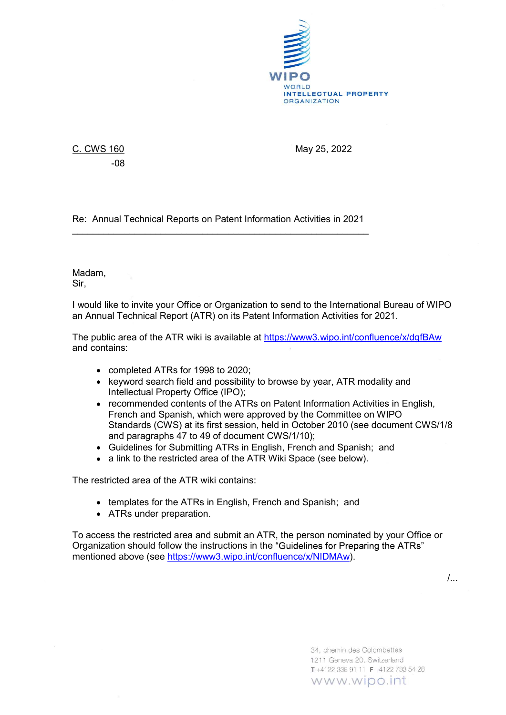

-08

C. CWS 160 May 25, 2022

Re: Annual Technical Reports on Patent Information Activities in 2021 \_\_\_\_\_\_\_\_\_\_\_\_\_\_\_\_\_\_\_\_\_\_\_\_\_\_\_\_\_\_\_\_\_\_\_\_\_\_\_\_\_\_\_\_\_\_\_\_\_\_\_\_\_\_\_\_\_ Madam,

Sir,

I would like to invite your Office or Organization to send to the International Bureau of WIPO an Annual Technical Report (ATR) on its Patent Information Activities for 2021.

The public area of the ATR wiki is available at https://www3.wipo.int/confluence/x/dgfBAw and contains:

- completed ATRs for 1998 to 2020;
- keyword search field and possibility to browse by year, ATR modality and Intellectual Property Office (IPO);
- recommended contents of the ATRs on Patent Information Activities in English, French and Spanish, which were approved by the Committee on WIPO Standards (CWS) at its first session, held in October 2010 (see document CWS/1/8 and paragraphs 47 to 49 of document CWS/1/10);
- Guidelines for Submitting ATRs in English, French and Spanish; and
- a link to the restricted area of the ATR Wiki Space (see below).

The restricted area of the ATR wiki contains:

- templates for the ATRs in English, French and Spanish; and
- ATRs under preparation.

To access the restricted area and submit an ATR, the person nominated by your Office or Organization should follow the instructions in the "Guidelines for Preparing the ATRs" mentioned above (see https://www3.wipo.int/confluence/x/NIDMAw).

/...

34, chemin des Colombettes 1211 Geneva 20, Switzerland T+4122 338 91 11 F+4122 733 54 28 www.wipo.int